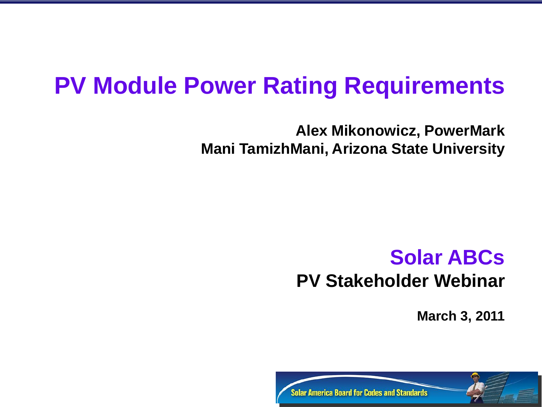# **PV Module Power Rating Requirements**

**Alex Mikonowicz, PowerMark Mani TamizhMani, Arizona State University**

## **Solar ABCs PV Stakeholder Webinar**

**March 3, 2011** 

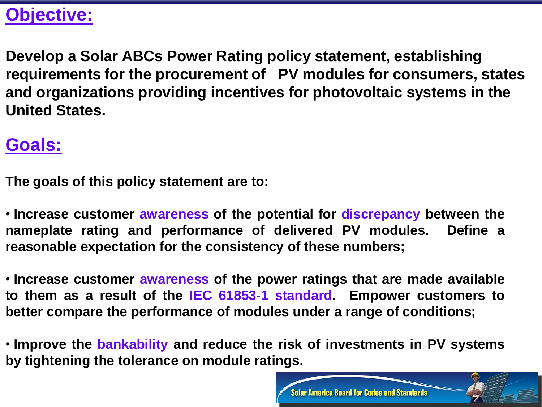### **Objective:**

**Develop a Solar ABCs Power Rating policy statement, establishing requirements for the procurement of PV modules for consumers, states and organizations providing incentives for photovoltaic systems in the United States.**

### **Goals:**

**The goals of this policy statement are to:**

• **Increase customer awareness of the potential for discrepancy between the nameplate rating and performance of delivered PV modules. Define a reasonable expectation for the consistency of these numbers;**

• **Increase customer awareness of the power ratings that are made available to them as a result of the IEC 61853-1 standard. Empower customers to better compare the performance of modules under a range of conditions;**

• **Improve the bankability and reduce the risk of investments in PV systems by tightening the tolerance on module ratings.**

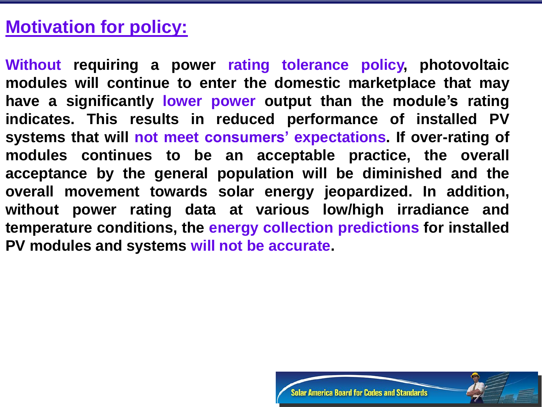### **Motivation for policy:**

**Without requiring a power rating tolerance policy, photovoltaic modules will continue to enter the domestic marketplace that may have a significantly lower power output than the module's rating indicates. This results in reduced performance of installed PV systems that will not meet consumers' expectations. If over-rating of modules continues to be an acceptable practice, the overall acceptance by the general population will be diminished and the overall movement towards solar energy jeopardized. In addition, without power rating data at various low/high irradiance and temperature conditions, the energy collection predictions for installed PV modules and systems will not be accurate.**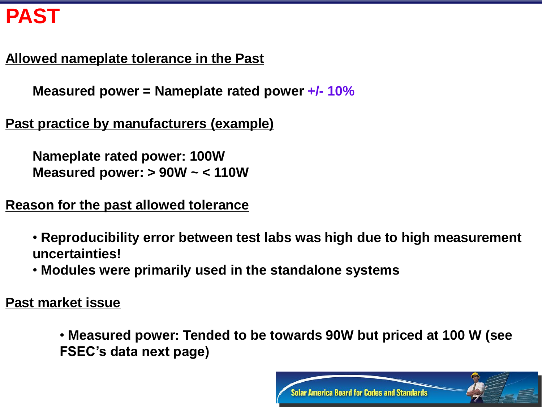# **PAST**

#### **Allowed nameplate tolerance in the Past**

**Measured power = Nameplate rated power +/- 10%**

**Past practice by manufacturers (example)**

**Nameplate rated power: 100W Measured power: > 90W ~ < 110W**

**Reason for the past allowed tolerance**

• **Reproducibility error between test labs was high due to high measurement uncertainties!**

• **Modules were primarily used in the standalone systems**

**Past market issue**

• **Measured power: Tended to be towards 90W but priced at 100 W (see FSEC's data next page)**

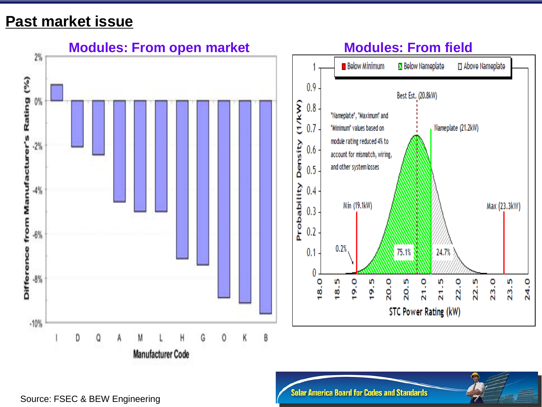#### **Past market issue**



Source: FSEC & BEW Engineering

**Solar America Board for Codes and Standards**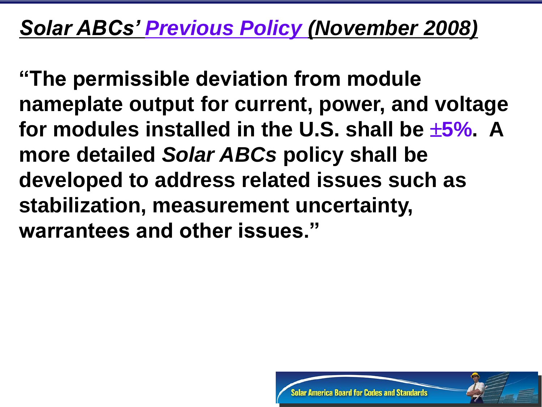# *Solar ABCs' Previous Policy (November 2008)*

**"The permissible deviation from module nameplate output for current, power, and voltage for modules installed in the U.S. shall be 5%. A more detailed** *Solar ABCs* **policy shall be developed to address related issues such as stabilization, measurement uncertainty, warrantees and other issues."**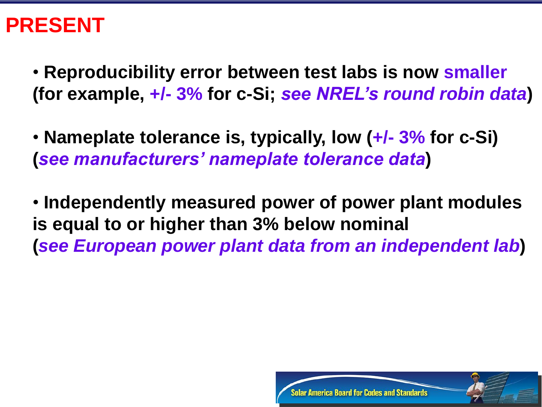# **PRESENT**

• **Reproducibility error between test labs is now smaller (for example, +/- 3% for c-Si;** *see NREL's round robin data***)**

• **Nameplate tolerance is, typically, low (+/- 3% for c-Si) (***see manufacturers' nameplate tolerance data***)**

• **Independently measured power of power plant modules is equal to or higher than 3% below nominal (***see European power plant data from an independent lab***)**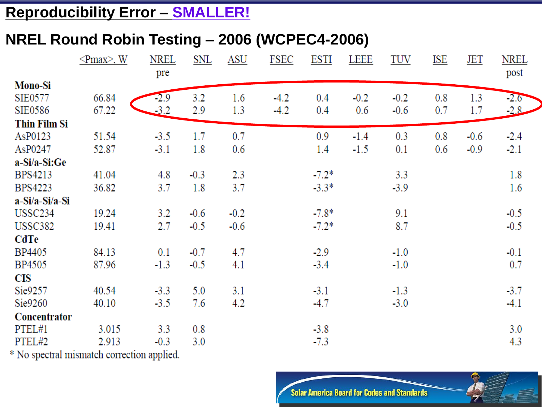#### **Reproducibility Error – SMALLER!**

#### **NREL Round Robin Testing – 2006 (WCPEC4-2006)**

|                     | $\leq$ Pmax>, W | <b>NREL</b> | <b>SNL</b> | <b>ASU</b> | <b>FSEC</b> | <b>ESTI</b> | <b>LEEE</b> | <b>TUV</b> | <u>ISE</u> | <u>JET</u> | <b>NREL</b> |
|---------------------|-----------------|-------------|------------|------------|-------------|-------------|-------------|------------|------------|------------|-------------|
|                     |                 | pre         |            |            |             |             |             |            |            |            | post        |
| <b>Mono-Si</b>      |                 |             |            |            |             |             |             |            |            |            |             |
| <b>SIE0577</b>      | 66.84           | $-2.9$      | 3.2        | 1.6        | $-4.2$      | 0.4         | $-0.2$      | $-0.2$     | 0.8        | 1.3        | $-2.6$      |
| <b>SIE0586</b>      | 67.22           | $-3.2$      | 2.9        | 1.3        | $-4.2$      | 0.4         | 0.6         | $-0.6$     | 0.7        | 1.7        | $-2.8$      |
| <b>Thin Film Si</b> |                 |             |            |            |             |             |             |            |            |            |             |
| AsP0123             | 51.54           | $-3.5$      | 1.7        | 0.7        |             | 0.9         | $-1.4$      | 0.3        | 0.8        | $-0.6$     | $-2.4$      |
| AsP0247             | 52.87           | $-3.1$      | 1.8        | 0.6        |             | 1.4         | $-1.5$      | 0.1        | 0.6        | $-0.9$     | $-2.1$      |
| a-Si/a-Si:Ge        |                 |             |            |            |             |             |             |            |            |            |             |
| <b>BPS4213</b>      | 41.04           | 4.8         | $-0.3$     | 2.3        |             | $-7.2*$     |             | 3.3        |            |            | 1.8         |
| <b>BPS4223</b>      | 36.82           | 3.7         | 1.8        | 3.7        |             | $-3.3*$     |             | $-3.9$     |            |            | 1.6         |
| a-Si/a-Si/a-Si      |                 |             |            |            |             |             |             |            |            |            |             |
| USSC <sub>234</sub> | 19.24           | 3.2         | $-0.6$     | $-0.2$     |             | $-7.8*$     |             | 9.1        |            |            | $-0.5$      |
| <b>USSC382</b>      | 19.41           | 2.7         | $-0.5$     | $-0.6$     |             | $-7.2*$     |             | 8.7        |            |            | $-0.5$      |
| <b>CdTe</b>         |                 |             |            |            |             |             |             |            |            |            |             |
| BP4405              | 84.13           | 0.1         | $-0.7$     | 4.7        |             | $-2.9$      |             | $-1.0$     |            |            | $-0.1$      |
| BP4505              | 87.96           | $-1.3$      | $-0.5$     | 4.1        |             | $-3.4$      |             | $-1.0$     |            |            | 0.7         |
| <b>CIS</b>          |                 |             |            |            |             |             |             |            |            |            |             |
| Sie9257             | 40.54           | $-3.3$      | 5.0        | 3.1        |             | $-3.1$      |             | $-1.3$     |            |            | $-3.7$      |
| Sie9260             | 40.10           | $-3.5$      | 7.6        | 4.2        |             | $-4.7$      |             | $-3.0$     |            |            | $-4.1$      |
| <b>Concentrator</b> |                 |             |            |            |             |             |             |            |            |            |             |
| PTEL#1              | 3.015           | 3.3         | 0.8        |            |             | $-3.8$      |             |            |            |            | 3.0         |
| PTEL#2              | 2.913           | $-0.3$      | 3.0        |            |             | $-7.3$      |             |            |            |            | 4.3         |

\* No spectral mismatch correction applied.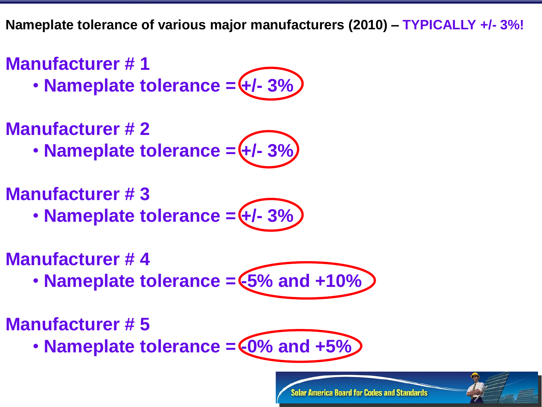**Nameplate tolerance of various major manufacturers (2010) – TYPICALLY +/- 3%!**

### **Manufacturer # 1**

 $\cdot$  **Nameplate tolerance =**  $\left(\frac{1}{2}\right)$  **- 3%** 

### **Manufacturer # 2**

• Nameplate tolerance = (+/- 3%)

### **Manufacturer # 3**

 $\cdot$  **Nameplate tolerance =**  $\left(\frac{1}{2}\right)$ 

### **Manufacturer # 4**

• **Nameplate tolerance =**  $5\%$  **and +10%** 

# **Manufacturer # 5**

• Nameplate tolerance =  $6\%$  and +5%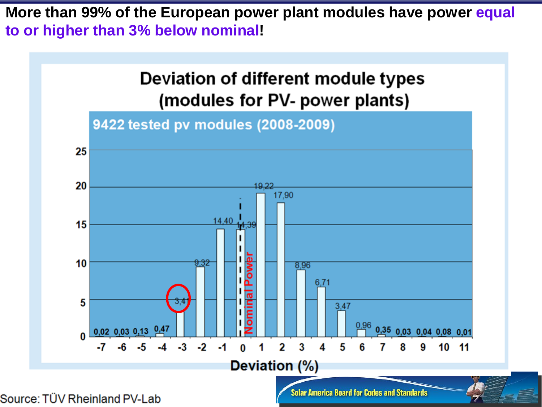**More than 99% of the European power plant modules have power equal to or higher than 3% below nominal!**



Source: TÜV Rheinland PV-Lab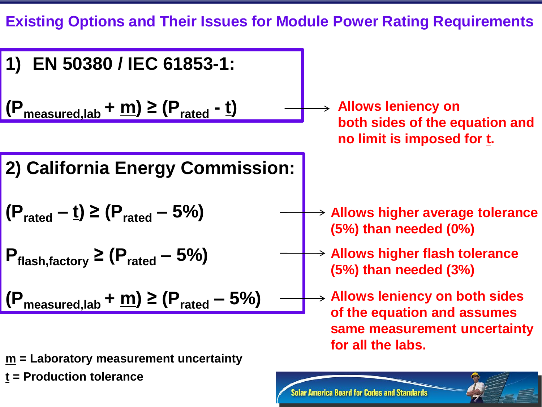**Existing Options and Their Issues for Module Power Rating Requirements**

**1) EN 50380 / IEC 61853-1: (Pmeasured,lab + m) ≥ (Prated - t) 2) California Energy Commission: (Prated – t) ≥ (Prated – 5%) Pflash,factory ≥ (Prated – 5%) (Pmeasured,lab + m) ≥ (Prated – 5%) Allows leniency on both sides of the equation and no limit is imposed for t. Allows leniency on both sides of the equation and assumes same measurement uncertainty for all the labs. Allows higher flash tolerance (5%) than needed (3%) Allows higher average tolerance (5%) than needed (0%)** 

**Solar America Board for Codes and Standards** 

**m = Laboratory measurement uncertainty t = Production tolerance**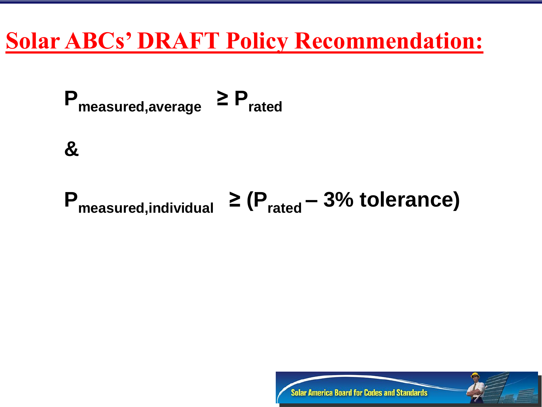# **Solar ABCs' DRAFT Policy Recommendation:**



# **Pmeasured,individual ≥ (Prated – 3% tolerance)**